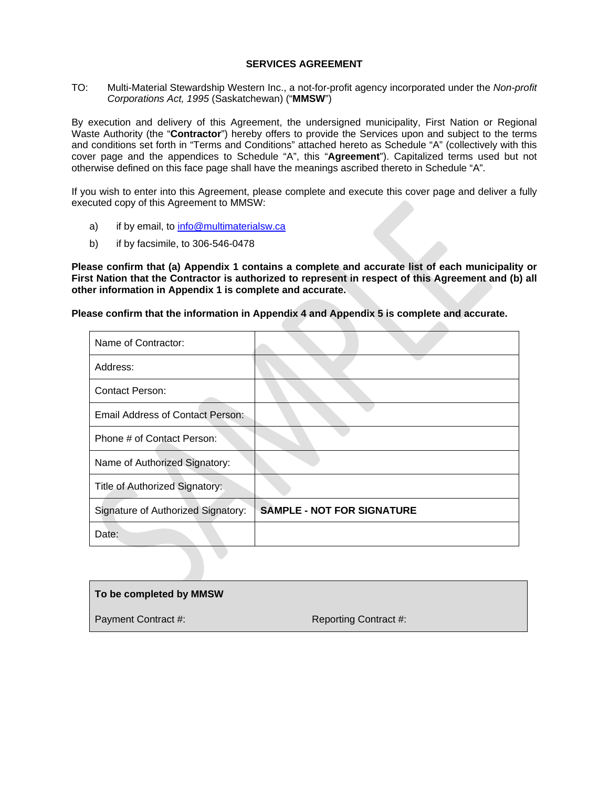#### **SERVICES AGREEMENT**

TO: Multi-Material Stewardship Western Inc., a not-for-profit agency incorporated under the *Non-profit Corporations Act, 1995* (Saskatchewan) ("**MMSW**")

By execution and delivery of this Agreement, the undersigned municipality, First Nation or Regional Waste Authority (the "**Contractor**") hereby offers to provide the Services upon and subject to the terms and conditions set forth in "Terms and Conditions" attached hereto as Schedule "A" (collectively with this cover page and the appendices to Schedule "A", this "**Agreement**"). Capitalized terms used but not otherwise defined on this face page shall have the meanings ascribed thereto in Schedule "A".

If you wish to enter into this Agreement, please complete and execute this cover page and deliver a fully executed copy of this Agreement to MMSW:

- a) if by email, to [info@multimaterialsw.ca](mailto:info@multimaterialsw.ca)
- b) if by facsimile, to 306-546-0478

**Please confirm that (a) Appendix 1 contains a complete and accurate list of each municipality or First Nation that the Contractor is authorized to represent in respect of this Agreement and (b) all other information in Appendix 1 is complete and accurate.**

**Please confirm that the information in Appendix 4 and Appendix 5 is complete and accurate.**

| Name of Contractor:                     |                                   |
|-----------------------------------------|-----------------------------------|
| Address:                                |                                   |
| <b>Contact Person:</b>                  |                                   |
| <b>Email Address of Contact Person:</b> |                                   |
| Phone # of Contact Person:              |                                   |
| Name of Authorized Signatory:           |                                   |
| Title of Authorized Signatory:          |                                   |
| Signature of Authorized Signatory:      | <b>SAMPLE - NOT FOR SIGNATURE</b> |
| Date:                                   |                                   |

| To be completed by MMSW |                       |
|-------------------------|-----------------------|
| Payment Contract #:     | Reporting Contract #: |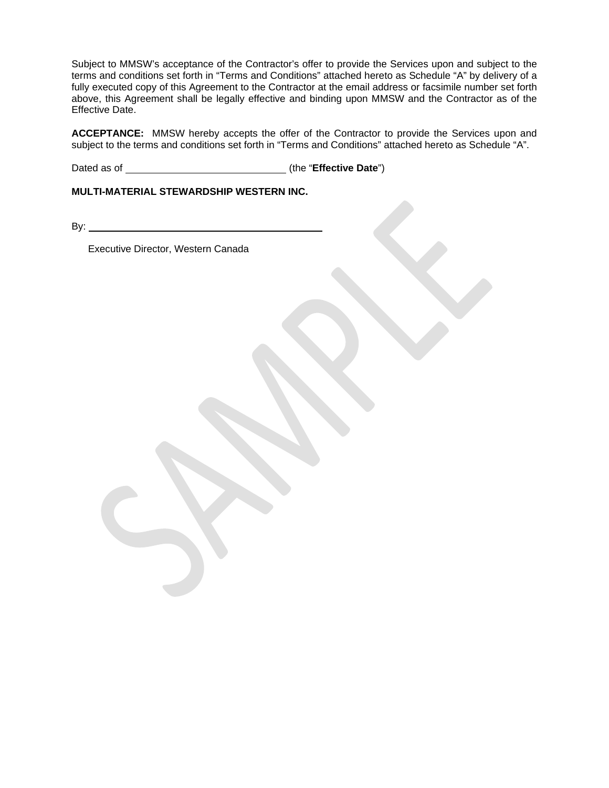Subject to MMSW's acceptance of the Contractor's offer to provide the Services upon and subject to the terms and conditions set forth in "Terms and Conditions" attached hereto as Schedule "A" by delivery of a fully executed copy of this Agreement to the Contractor at the email address or facsimile number set forth above, this Agreement shall be legally effective and binding upon MMSW and the Contractor as of the Effective Date.

**ACCEPTANCE:** MMSW hereby accepts the offer of the Contractor to provide the Services upon and subject to the terms and conditions set forth in "Terms and Conditions" attached hereto as Schedule "A".

Dated as of **Mathematic Effective Date**")

**MULTI-MATERIAL STEWARDSHIP WESTERN INC.**

By:

Executive Director, Western Canada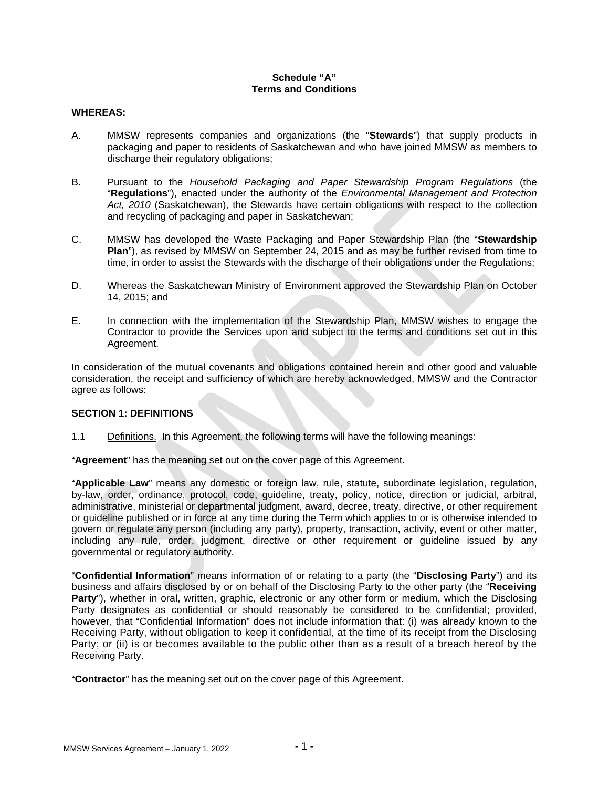### **Schedule "A" Terms and Conditions**

#### **WHEREAS:**

- A. MMSW represents companies and organizations (the "**Stewards**") that supply products in packaging and paper to residents of Saskatchewan and who have joined MMSW as members to discharge their regulatory obligations;
- B. Pursuant to the *Household Packaging and Paper Stewardship Program Regulations* (the "**Regulations**"), enacted under the authority of the *Environmental Management and Protection*  Act, 2010 (Saskatchewan), the Stewards have certain obligations with respect to the collection and recycling of packaging and paper in Saskatchewan;
- C. MMSW has developed the Waste Packaging and Paper Stewardship Plan (the "**Stewardship Plan**"), as revised by MMSW on September 24, 2015 and as may be further revised from time to time, in order to assist the Stewards with the discharge of their obligations under the Regulations;
- D. Whereas the Saskatchewan Ministry of Environment approved the Stewardship Plan on October 14, 2015; and
- E. In connection with the implementation of the Stewardship Plan, MMSW wishes to engage the Contractor to provide the Services upon and subject to the terms and conditions set out in this Agreement.

In consideration of the mutual covenants and obligations contained herein and other good and valuable consideration, the receipt and sufficiency of which are hereby acknowledged, MMSW and the Contractor agree as follows:

#### **SECTION 1: DEFINITIONS**

1.1 Definitions. In this Agreement, the following terms will have the following meanings:

"**Agreement**" has the meaning set out on the cover page of this Agreement.

"**Applicable Law**" means any domestic or foreign law, rule, statute, subordinate legislation, regulation, by-law, order, ordinance, protocol, code, guideline, treaty, policy, notice, direction or judicial, arbitral, administrative, ministerial or departmental judgment, award, decree, treaty, directive, or other requirement or guideline published or in force at any time during the Term which applies to or is otherwise intended to govern or regulate any person (including any party), property, transaction, activity, event or other matter, including any rule, order, judgment, directive or other requirement or guideline issued by any governmental or regulatory authority.

"**Confidential Information**" means information of or relating to a party (the "**Disclosing Party**") and its business and affairs disclosed by or on behalf of the Disclosing Party to the other party (the "**Receiving Party**"), whether in oral, written, graphic, electronic or any other form or medium, which the Disclosing Party designates as confidential or should reasonably be considered to be confidential; provided, however, that "Confidential Information" does not include information that: (i) was already known to the Receiving Party, without obligation to keep it confidential, at the time of its receipt from the Disclosing Party; or (ii) is or becomes available to the public other than as a result of a breach hereof by the Receiving Party.

"**Contractor**" has the meaning set out on the cover page of this Agreement.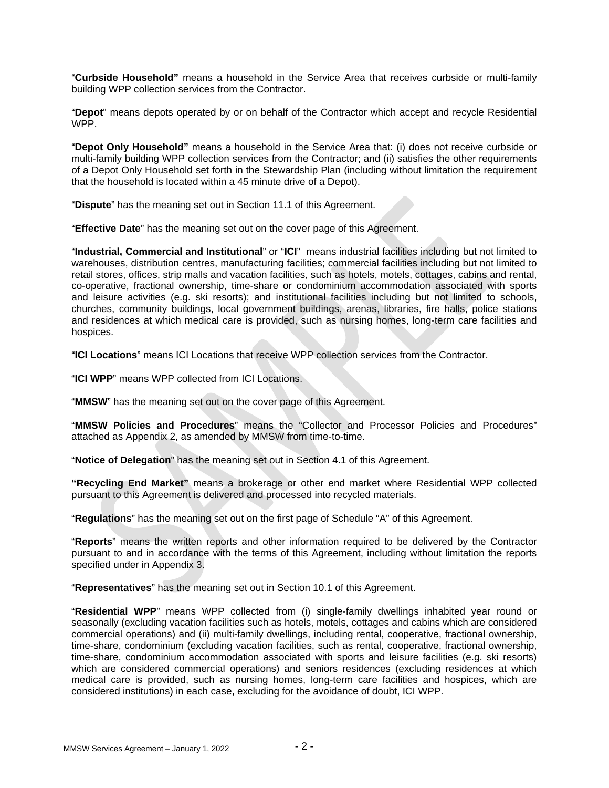"**Curbside Household"** means a household in the Service Area that receives curbside or multi-family building WPP collection services from the Contractor.

"**Depot**" means depots operated by or on behalf of the Contractor which accept and recycle Residential WPP.

"**Depot Only Household"** means a household in the Service Area that: (i) does not receive curbside or multi-family building WPP collection services from the Contractor; and (ii) satisfies the other requirements of a Depot Only Household set forth in the Stewardship Plan (including without limitation the requirement that the household is located within a 45 minute drive of a Depot).

"**Dispute**" has the meaning set out in Section [11.1](#page-10-0) of this Agreement.

"**Effective Date**" has the meaning set out on the cover page of this Agreement.

"**Industrial, Commercial and Institutional**" or "**ICI**" means industrial facilities including but not limited to warehouses, distribution centres, manufacturing facilities; commercial facilities including but not limited to retail stores, offices, strip malls and vacation facilities, such as hotels, motels, cottages, cabins and rental, co-operative, fractional ownership, time-share or condominium accommodation associated with sports and leisure activities (e.g. ski resorts); and institutional facilities including but not limited to schools, churches, community buildings, local government buildings, arenas, libraries, fire halls, police stations and residences at which medical care is provided, such as nursing homes, long-term care facilities and hospices.

"**ICI Locations**" means ICI Locations that receive WPP collection services from the Contractor.

"**ICI WPP**" means WPP collected from ICI Locations.

"**MMSW**" has the meaning set out on the cover page of this Agreement.

"**MMSW Policies and Procedures**" means the "Collector and Processor Policies and Procedures" attached as Appendix 2, as amended by MMSW from time-to-time.

"**Notice of Delegation**" has the meaning set out in Section [4.1](#page-6-0) of this Agreement.

**"Recycling End Market"** means a brokerage or other end market where Residential WPP collected pursuant to this Agreement is delivered and processed into recycled materials.

"**Regulations**" has the meaning set out on the first page of Schedule "A" of this Agreement.

"**Reports**" means the written reports and other information required to be delivered by the Contractor pursuant to and in accordance with the terms of this Agreement, including without limitation the reports specified under in Appendix 3.

"**Representatives**" has the meaning set out in Section [10.1](#page-9-0) of this Agreement.

"**Residential WPP**" means WPP collected from (i) single-family dwellings inhabited year round or seasonally (excluding vacation facilities such as hotels, motels, cottages and cabins which are considered commercial operations) and (ii) multi-family dwellings, including rental, cooperative, fractional ownership, time-share, condominium (excluding vacation facilities, such as rental, cooperative, fractional ownership, time-share, condominium accommodation associated with sports and leisure facilities (e.g. ski resorts) which are considered commercial operations) and seniors residences (excluding residences at which medical care is provided, such as nursing homes, long-term care facilities and hospices, which are considered institutions) in each case, excluding for the avoidance of doubt, ICI WPP.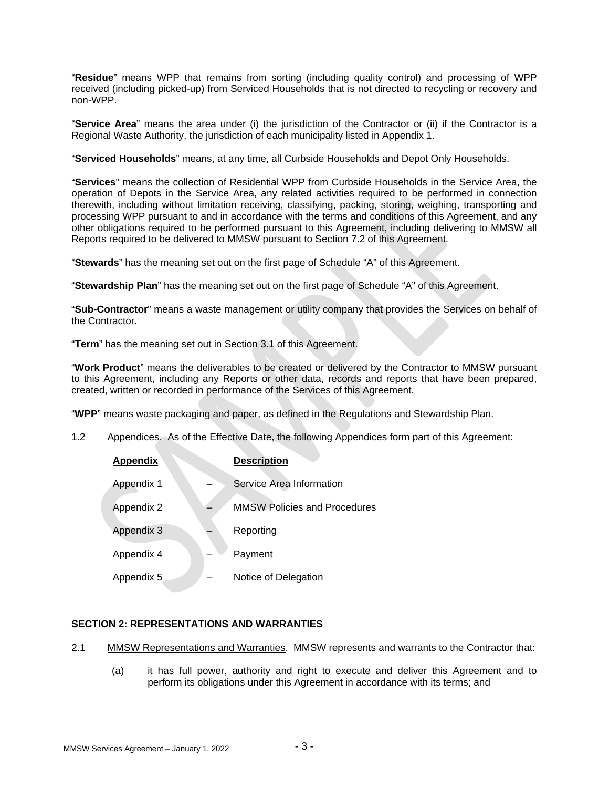"**Residue**" means WPP that remains from sorting (including quality control) and processing of WPP received (including picked-up) from Serviced Households that is not directed to recycling or recovery and non-WPP.

"**Service Area**" means the area under (i) the jurisdiction of the Contractor or (ii) if the Contractor is a Regional Waste Authority, the jurisdiction of each municipality listed in Appendix 1.

"**Serviced Households**" means, at any time, all Curbside Households and Depot Only Households.

"**Services**" means the collection of Residential WPP from Curbside Households in the Service Area, the operation of Depots in the Service Area, any related activities required to be performed in connection therewith, including without limitation receiving, classifying, packing, storing, weighing, transporting and processing WPP pursuant to and in accordance with the terms and conditions of this Agreement, and any other obligations required to be performed pursuant to this Agreement, including delivering to MMSW all Reports required to be delivered to MMSW pursuant to Section [7.2](#page-8-0) of this Agreement.

"**Stewards**" has the meaning set out on the first page of Schedule "A" of this Agreement.

"**Stewardship Plan**" has the meaning set out on the first page of Schedule "A" of this Agreement.

"**Sub-Contractor**" means a waste management or utility company that provides the Services on behalf of the Contractor.

"**Term**" has the meaning set out in Section [3.1](#page-5-0) of this Agreement.

"**Work Product**" means the deliverables to be created or delivered by the Contractor to MMSW pursuant to this Agreement, including any Reports or other data, records and reports that have been prepared, created, written or recorded in performance of the Services of this Agreement.

"**WPP**" means waste packaging and paper, as defined in the Regulations and Stewardship Plan.

1.2 Appendices. As of the Effective Date, the following Appendices form part of this Agreement:

| <b>Description</b>                  |
|-------------------------------------|
| Service Area Information            |
| <b>MMSW Policies and Procedures</b> |
| Reporting                           |
| Payment                             |
| Notice of Delegation                |
|                                     |

# **SECTION 2: REPRESENTATIONS AND WARRANTIES**

- 2.1 MMSW Representations and Warranties. MMSW represents and warrants to the Contractor that:
	- (a) it has full power, authority and right to execute and deliver this Agreement and to perform its obligations under this Agreement in accordance with its terms; and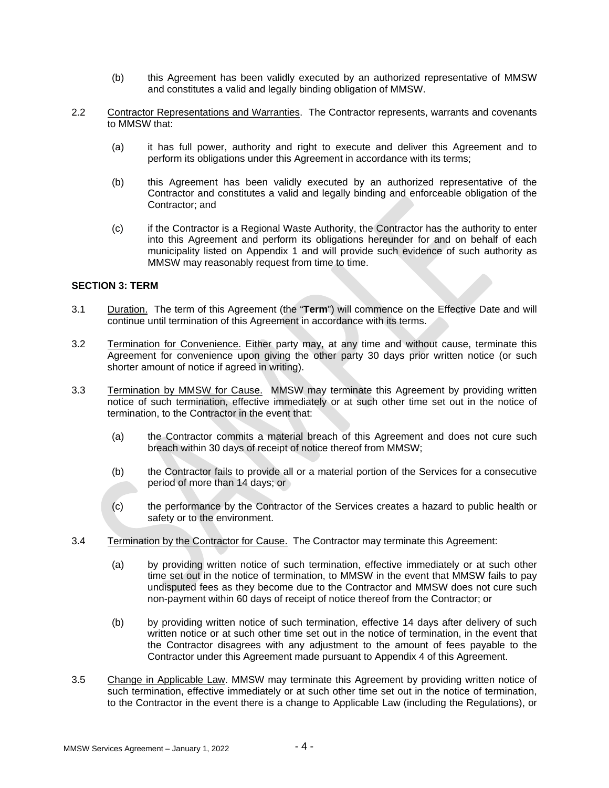- (b) this Agreement has been validly executed by an authorized representative of MMSW and constitutes a valid and legally binding obligation of MMSW.
- 2.2 Contractor Representations and Warranties. The Contractor represents, warrants and covenants to MMSW that:
	- (a) it has full power, authority and right to execute and deliver this Agreement and to perform its obligations under this Agreement in accordance with its terms;
	- (b) this Agreement has been validly executed by an authorized representative of the Contractor and constitutes a valid and legally binding and enforceable obligation of the Contractor; and
	- (c) if the Contractor is a Regional Waste Authority, the Contractor has the authority to enter into this Agreement and perform its obligations hereunder for and on behalf of each municipality listed on Appendix 1 and will provide such evidence of such authority as MMSW may reasonably request from time to time.

### **SECTION 3: TERM**

- <span id="page-5-0"></span>3.1 Duration. The term of this Agreement (the "**Term**") will commence on the Effective Date and will continue until termination of this Agreement in accordance with its terms.
- 3.2 Termination for Convenience. Either party may, at any time and without cause, terminate this Agreement for convenience upon giving the other party 30 days prior written notice (or such shorter amount of notice if agreed in writing).
- <span id="page-5-1"></span>3.3 Termination by MMSW for Cause. MMSW may terminate this Agreement by providing written notice of such termination, effective immediately or at such other time set out in the notice of termination, to the Contractor in the event that:
	- (a) the Contractor commits a material breach of this Agreement and does not cure such breach within 30 days of receipt of notice thereof from MMSW;
	- (b) the Contractor fails to provide all or a material portion of the Services for a consecutive period of more than 14 days; or
	- (c) the performance by the Contractor of the Services creates a hazard to public health or safety or to the environment.
- 3.4 Termination by the Contractor for Cause. The Contractor may terminate this Agreement:
	- (a) by providing written notice of such termination, effective immediately or at such other time set out in the notice of termination, to MMSW in the event that MMSW fails to pay undisputed fees as they become due to the Contractor and MMSW does not cure such non-payment within 60 days of receipt of notice thereof from the Contractor; or
	- (b) by providing written notice of such termination, effective 14 days after delivery of such written notice or at such other time set out in the notice of termination, in the event that the Contractor disagrees with any adjustment to the amount of fees payable to the Contractor under this Agreement made pursuant to Appendix 4 of this Agreement.
- 3.5 Change in Applicable Law. MMSW may terminate this Agreement by providing written notice of such termination, effective immediately or at such other time set out in the notice of termination, to the Contractor in the event there is a change to Applicable Law (including the Regulations), or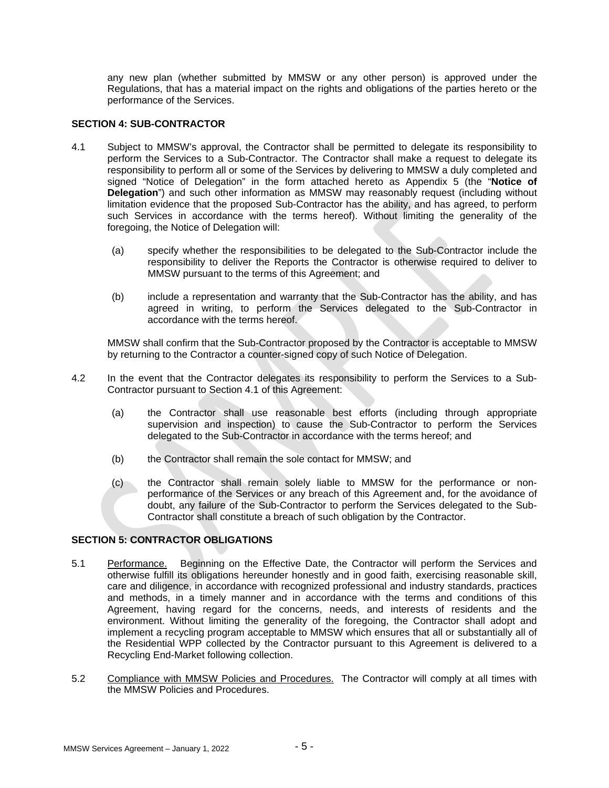any new plan (whether submitted by MMSW or any other person) is approved under the Regulations, that has a material impact on the rights and obligations of the parties hereto or the performance of the Services.

### **SECTION 4: SUB-CONTRACTOR**

- <span id="page-6-0"></span>4.1 Subject to MMSW's approval, the Contractor shall be permitted to delegate its responsibility to perform the Services to a Sub-Contractor. The Contractor shall make a request to delegate its responsibility to perform all or some of the Services by delivering to MMSW a duly completed and signed "Notice of Delegation" in the form attached hereto as Appendix 5 (the "**Notice of Delegation**") and such other information as MMSW may reasonably request (including without limitation evidence that the proposed Sub-Contractor has the ability, and has agreed, to perform such Services in accordance with the terms hereof). Without limiting the generality of the foregoing, the Notice of Delegation will:
	- (a) specify whether the responsibilities to be delegated to the Sub-Contractor include the responsibility to deliver the Reports the Contractor is otherwise required to deliver to MMSW pursuant to the terms of this Agreement; and
	- (b) include a representation and warranty that the Sub-Contractor has the ability, and has agreed in writing, to perform the Services delegated to the Sub-Contractor in accordance with the terms hereof.

MMSW shall confirm that the Sub-Contractor proposed by the Contractor is acceptable to MMSW by returning to the Contractor a counter-signed copy of such Notice of Delegation.

- 4.2 In the event that the Contractor delegates its responsibility to perform the Services to a Sub-Contractor pursuant to Section [4.1](#page-6-0) of this Agreement:
	- (a) the Contractor shall use reasonable best efforts (including through appropriate supervision and inspection) to cause the Sub-Contractor to perform the Services delegated to the Sub-Contractor in accordance with the terms hereof; and
	- (b) the Contractor shall remain the sole contact for MMSW; and
	- (c) the Contractor shall remain solely liable to MMSW for the performance or nonperformance of the Services or any breach of this Agreement and, for the avoidance of doubt, any failure of the Sub-Contractor to perform the Services delegated to the Sub-Contractor shall constitute a breach of such obligation by the Contractor.

# **SECTION 5: CONTRACTOR OBLIGATIONS**

- 5.1 Performance. Beginning on the Effective Date, the Contractor will perform the Services and otherwise fulfill its obligations hereunder honestly and in good faith, exercising reasonable skill, care and diligence, in accordance with recognized professional and industry standards, practices and methods, in a timely manner and in accordance with the terms and conditions of this Agreement, having regard for the concerns, needs, and interests of residents and the environment. Without limiting the generality of the foregoing, the Contractor shall adopt and implement a recycling program acceptable to MMSW which ensures that all or substantially all of the Residential WPP collected by the Contractor pursuant to this Agreement is delivered to a Recycling End-Market following collection.
- 5.2 Compliance with MMSW Policies and Procedures. The Contractor will comply at all times with the MMSW Policies and Procedures.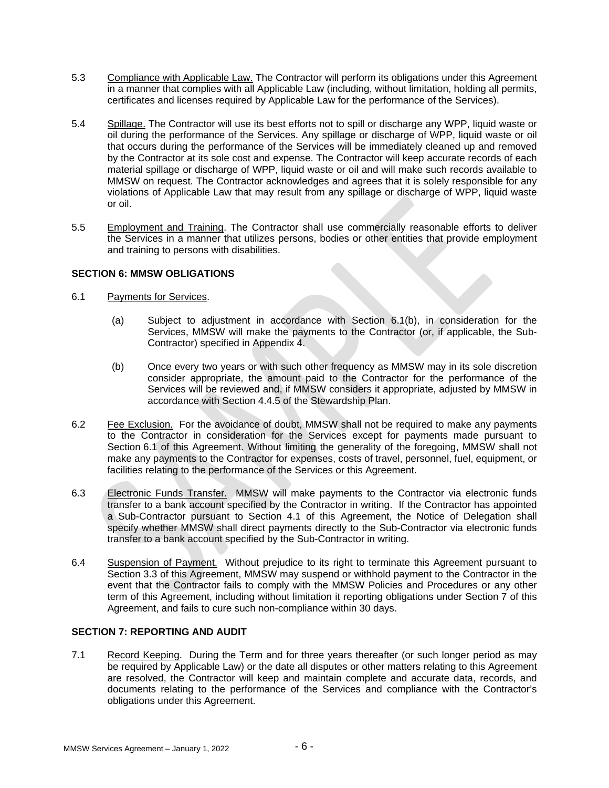- 5.3 Compliance with Applicable Law. The Contractor will perform its obligations under this Agreement in a manner that complies with all Applicable Law (including, without limitation, holding all permits, certificates and licenses required by Applicable Law for the performance of the Services).
- 5.4 Spillage. The Contractor will use its best efforts not to spill or discharge any WPP, liquid waste or oil during the performance of the Services. Any spillage or discharge of WPP, liquid waste or oil that occurs during the performance of the Services will be immediately cleaned up and removed by the Contractor at its sole cost and expense. The Contractor will keep accurate records of each material spillage or discharge of WPP, liquid waste or oil and will make such records available to MMSW on request. The Contractor acknowledges and agrees that it is solely responsible for any violations of Applicable Law that may result from any spillage or discharge of WPP, liquid waste or oil.
- 5.5 Employment and Training. The Contractor shall use commercially reasonable efforts to deliver the Services in a manner that utilizes persons, bodies or other entities that provide employment and training to persons with disabilities.

# **SECTION 6: MMSW OBLIGATIONS**

- <span id="page-7-0"></span>6.1 Payments for Services.
	- (a) Subject to adjustment in accordance with Section [6.1](#page-7-0)[\(b\),](#page-7-1) in consideration for the Services, MMSW will make the payments to the Contractor (or, if applicable, the Sub-Contractor) specified in Appendix 4.
	- (b) Once every two years or with such other frequency as MMSW may in its sole discretion consider appropriate, the amount paid to the Contractor for the performance of the Services will be reviewed and, if MMSW considers it appropriate, adjusted by MMSW in accordance with Section 4.4.5 of the Stewardship Plan.
- <span id="page-7-1"></span>6.2 Fee Exclusion. For the avoidance of doubt, MMSW shall not be required to make any payments to the Contractor in consideration for the Services except for payments made pursuant to Section [6.1](#page-7-0) of this Agreement. Without limiting the generality of the foregoing, MMSW shall not make any payments to the Contractor for expenses, costs of travel, personnel, fuel, equipment, or facilities relating to the performance of the Services or this Agreement.
- 6.3 Electronic Funds Transfer. MMSW will make payments to the Contractor via electronic funds transfer to a bank account specified by the Contractor in writing. If the Contractor has appointed a Sub-Contractor pursuant to Section [4.1](#page-6-0) of this Agreement, the Notice of Delegation shall specify whether MMSW shall direct payments directly to the Sub-Contractor via electronic funds transfer to a bank account specified by the Sub-Contractor in writing.
- 6.4 Suspension of Payment. Without prejudice to its right to terminate this Agreement pursuant to Section [3.3](#page-5-1) of this Agreement, MMSW may suspend or withhold payment to the Contractor in the event that the Contractor fails to comply with the MMSW Policies and Procedures or any other term of this Agreement, including without limitation it reporting obligations under [Section](#page-7-2) 7 of this Agreement, and fails to cure such non-compliance within 30 days.

# <span id="page-7-2"></span>**SECTION 7: REPORTING AND AUDIT**

7.1 Record Keeping. During the Term and for three years thereafter (or such longer period as may be required by Applicable Law) or the date all disputes or other matters relating to this Agreement are resolved, the Contractor will keep and maintain complete and accurate data, records, and documents relating to the performance of the Services and compliance with the Contractor's obligations under this Agreement.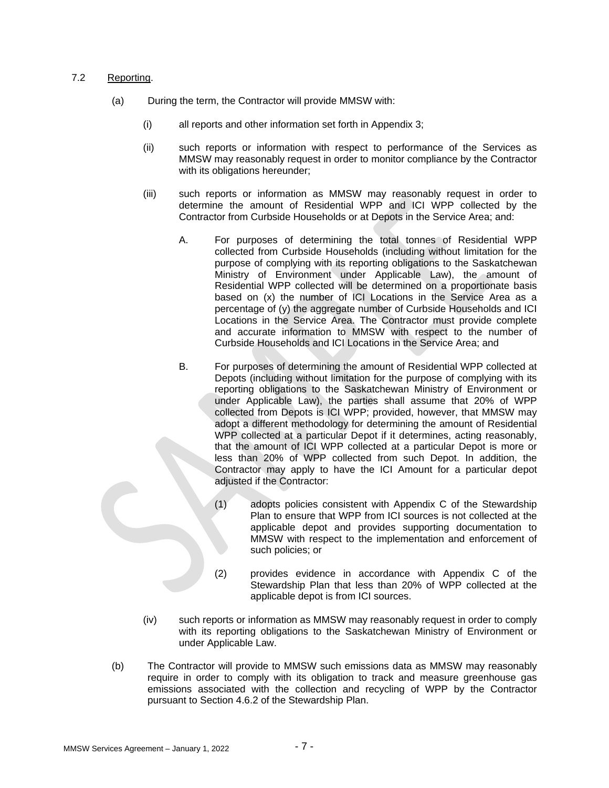### <span id="page-8-0"></span>7.2 Reporting.

- (a) During the term, the Contractor will provide MMSW with:
	- (i) all reports and other information set forth in Appendix 3;
	- (ii) such reports or information with respect to performance of the Services as MMSW may reasonably request in order to monitor compliance by the Contractor with its obligations hereunder;
	- (iii) such reports or information as MMSW may reasonably request in order to determine the amount of Residential WPP and ICI WPP collected by the Contractor from Curbside Households or at Depots in the Service Area; and:
		- A. For purposes of determining the total tonnes of Residential WPP collected from Curbside Households (including without limitation for the purpose of complying with its reporting obligations to the Saskatchewan Ministry of Environment under Applicable Law), the amount of Residential WPP collected will be determined on a proportionate basis based on (x) the number of ICI Locations in the Service Area as a percentage of (y) the aggregate number of Curbside Households and ICI Locations in the Service Area. The Contractor must provide complete and accurate information to MMSW with respect to the number of Curbside Households and ICI Locations in the Service Area; and
		- B. For purposes of determining the amount of Residential WPP collected at Depots (including without limitation for the purpose of complying with its reporting obligations to the Saskatchewan Ministry of Environment or under Applicable Law), the parties shall assume that 20% of WPP collected from Depots is ICI WPP; provided, however, that MMSW may adopt a different methodology for determining the amount of Residential WPP collected at a particular Depot if it determines, acting reasonably, that the amount of ICI WPP collected at a particular Depot is more or less than 20% of WPP collected from such Depot. In addition, the Contractor may apply to have the ICI Amount for a particular depot adjusted if the Contractor:
			- (1) adopts policies consistent with Appendix C of the Stewardship Plan to ensure that WPP from ICI sources is not collected at the applicable depot and provides supporting documentation to MMSW with respect to the implementation and enforcement of such policies; or
			- (2) provides evidence in accordance with Appendix C of the Stewardship Plan that less than 20% of WPP collected at the applicable depot is from ICI sources.
	- (iv) such reports or information as MMSW may reasonably request in order to comply with its reporting obligations to the Saskatchewan Ministry of Environment or under Applicable Law.
- (b) The Contractor will provide to MMSW such emissions data as MMSW may reasonably require in order to comply with its obligation to track and measure greenhouse gas emissions associated with the collection and recycling of WPP by the Contractor pursuant to Section 4.6.2 of the Stewardship Plan.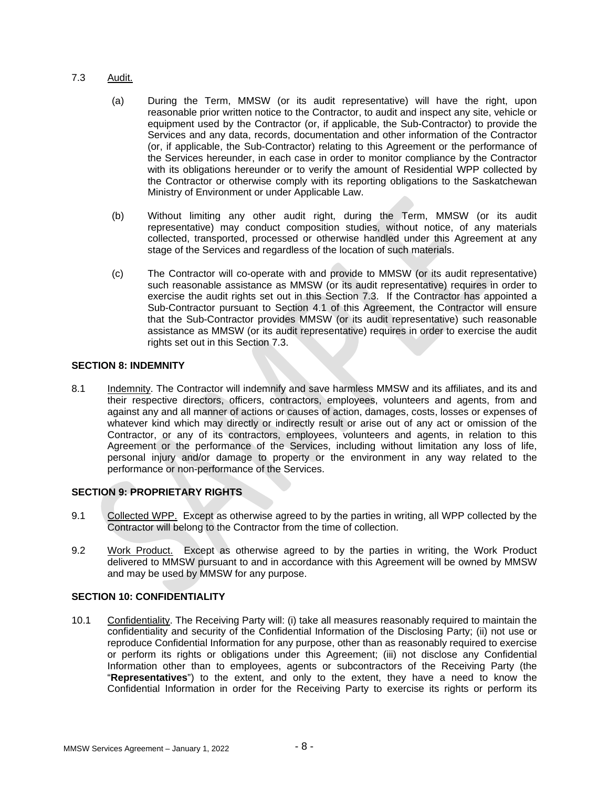# <span id="page-9-1"></span>7.3 Audit.

- (a) During the Term, MMSW (or its audit representative) will have the right, upon reasonable prior written notice to the Contractor, to audit and inspect any site, vehicle or equipment used by the Contractor (or, if applicable, the Sub-Contractor) to provide the Services and any data, records, documentation and other information of the Contractor (or, if applicable, the Sub-Contractor) relating to this Agreement or the performance of the Services hereunder, in each case in order to monitor compliance by the Contractor with its obligations hereunder or to verify the amount of Residential WPP collected by the Contractor or otherwise comply with its reporting obligations to the Saskatchewan Ministry of Environment or under Applicable Law.
- (b) Without limiting any other audit right, during the Term, MMSW (or its audit representative) may conduct composition studies, without notice, of any materials collected, transported, processed or otherwise handled under this Agreement at any stage of the Services and regardless of the location of such materials.
- (c) The Contractor will co-operate with and provide to MMSW (or its audit representative) such reasonable assistance as MMSW (or its audit representative) requires in order to exercise the audit rights set out in this Section [7.3.](#page-9-1) If the Contractor has appointed a Sub-Contractor pursuant to Section [4.1](#page-6-0) of this Agreement, the Contractor will ensure that the Sub-Contractor provides MMSW (or its audit representative) such reasonable assistance as MMSW (or its audit representative) requires in order to exercise the audit rights set out in this Section [7.3.](#page-9-1)

# **SECTION 8: INDEMNITY**

8.1 Indemnity. The Contractor will indemnify and save harmless MMSW and its affiliates, and its and their respective directors, officers, contractors, employees, volunteers and agents, from and against any and all manner of actions or causes of action, damages, costs, losses or expenses of whatever kind which may directly or indirectly result or arise out of any act or omission of the Contractor, or any of its contractors, employees, volunteers and agents, in relation to this Agreement or the performance of the Services, including without limitation any loss of life, personal injury and/or damage to property or the environment in any way related to the performance or non-performance of the Services.

# **SECTION 9: PROPRIETARY RIGHTS**

- 9.1 Collected WPP. Except as otherwise agreed to by the parties in writing, all WPP collected by the Contractor will belong to the Contractor from the time of collection.
- 9.2 Work Product. Except as otherwise agreed to by the parties in writing, the Work Product delivered to MMSW pursuant to and in accordance with this Agreement will be owned by MMSW and may be used by MMSW for any purpose.

# **SECTION 10: CONFIDENTIALITY**

<span id="page-9-0"></span>10.1 Confidentiality. The Receiving Party will: (i) take all measures reasonably required to maintain the confidentiality and security of the Confidential Information of the Disclosing Party; (ii) not use or reproduce Confidential Information for any purpose, other than as reasonably required to exercise or perform its rights or obligations under this Agreement; (iii) not disclose any Confidential Information other than to employees, agents or subcontractors of the Receiving Party (the "**Representatives**") to the extent, and only to the extent, they have a need to know the Confidential Information in order for the Receiving Party to exercise its rights or perform its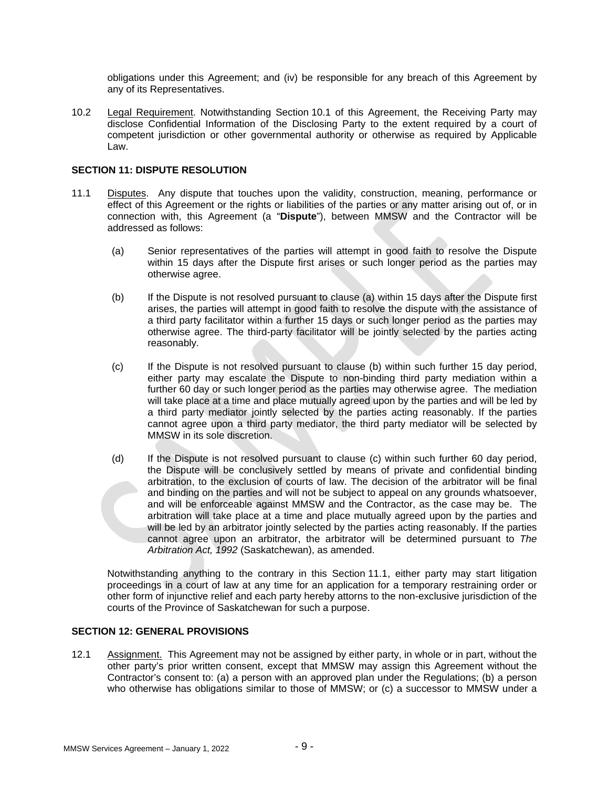obligations under this Agreement; and (iv) be responsible for any breach of this Agreement by any of its Representatives.

10.2 Legal Requirement. Notwithstanding Section [10.1](#page-9-0) of this Agreement, the Receiving Party may disclose Confidential Information of the Disclosing Party to the extent required by a court of competent jurisdiction or other governmental authority or otherwise as required by Applicable Law.

### **SECTION 11: DISPUTE RESOLUTION**

- <span id="page-10-0"></span>11.1 Disputes. Any dispute that touches upon the validity, construction, meaning, performance or effect of this Agreement or the rights or liabilities of the parties or any matter arising out of, or in connection with, this Agreement (a "**Dispute**"), between MMSW and the Contractor will be addressed as follows:
	- (a) Senior representatives of the parties will attempt in good faith to resolve the Dispute within 15 days after the Dispute first arises or such longer period as the parties may otherwise agree.
	- (b) If the Dispute is not resolved pursuant to clause (a) within 15 days after the Dispute first arises, the parties will attempt in good faith to resolve the dispute with the assistance of a third party facilitator within a further 15 days or such longer period as the parties may otherwise agree. The third-party facilitator will be jointly selected by the parties acting reasonably.
	- (c) If the Dispute is not resolved pursuant to clause (b) within such further 15 day period, either party may escalate the Dispute to non-binding third party mediation within a further 60 day or such longer period as the parties may otherwise agree. The mediation will take place at a time and place mutually agreed upon by the parties and will be led by a third party mediator jointly selected by the parties acting reasonably. If the parties cannot agree upon a third party mediator, the third party mediator will be selected by MMSW in its sole discretion.
	- (d) If the Dispute is not resolved pursuant to clause (c) within such further 60 day period, the Dispute will be conclusively settled by means of private and confidential binding arbitration, to the exclusion of courts of law. The decision of the arbitrator will be final and binding on the parties and will not be subject to appeal on any grounds whatsoever, and will be enforceable against MMSW and the Contractor, as the case may be. The arbitration will take place at a time and place mutually agreed upon by the parties and will be led by an arbitrator jointly selected by the parties acting reasonably. If the parties cannot agree upon an arbitrator, the arbitrator will be determined pursuant to *The Arbitration Act, 1992* (Saskatchewan), as amended.

Notwithstanding anything to the contrary in this Section [11.1,](#page-10-0) either party may start litigation proceedings in a court of law at any time for an application for a temporary restraining order or other form of injunctive relief and each party hereby attorns to the non-exclusive jurisdiction of the courts of the Province of Saskatchewan for such a purpose.

# **SECTION 12: GENERAL PROVISIONS**

12.1 Assignment. This Agreement may not be assigned by either party, in whole or in part, without the other party's prior written consent, except that MMSW may assign this Agreement without the Contractor's consent to: (a) a person with an approved plan under the Regulations; (b) a person who otherwise has obligations similar to those of MMSW; or (c) a successor to MMSW under a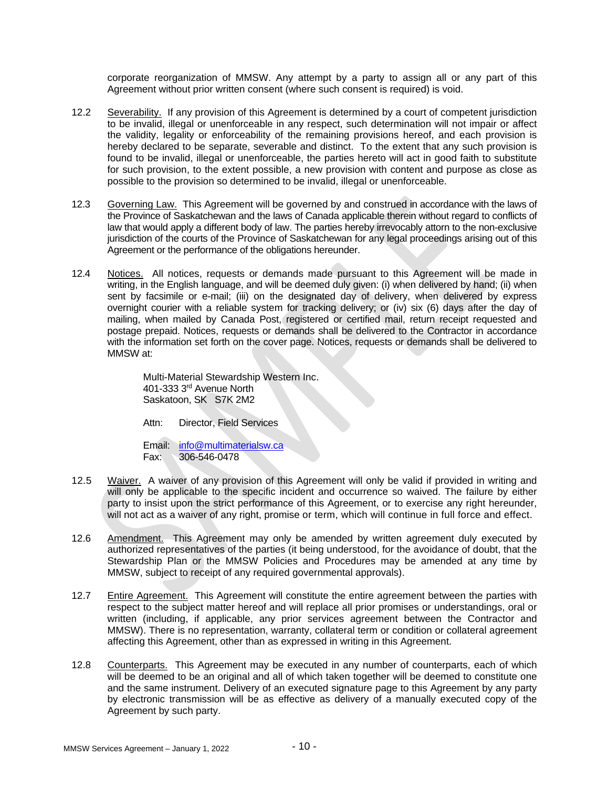corporate reorganization of MMSW. Any attempt by a party to assign all or any part of this Agreement without prior written consent (where such consent is required) is void.

- 12.2 Severability. If any provision of this Agreement is determined by a court of competent jurisdiction to be invalid, illegal or unenforceable in any respect, such determination will not impair or affect the validity, legality or enforceability of the remaining provisions hereof, and each provision is hereby declared to be separate, severable and distinct. To the extent that any such provision is found to be invalid, illegal or unenforceable, the parties hereto will act in good faith to substitute for such provision, to the extent possible, a new provision with content and purpose as close as possible to the provision so determined to be invalid, illegal or unenforceable.
- 12.3 Governing Law. This Agreement will be governed by and construed in accordance with the laws of the Province of Saskatchewan and the laws of Canada applicable therein without regard to conflicts of law that would apply a different body of law. The parties hereby irrevocably attorn to the non-exclusive jurisdiction of the courts of the Province of Saskatchewan for any legal proceedings arising out of this Agreement or the performance of the obligations hereunder.
- 12.4 Notices. All notices, requests or demands made pursuant to this Agreement will be made in writing, in the English language, and will be deemed duly given: (i) when delivered by hand; (ii) when sent by facsimile or e-mail; (iii) on the designated day of delivery, when delivered by express overnight courier with a reliable system for tracking delivery; or (iv) six (6) days after the day of mailing, when mailed by Canada Post, registered or certified mail, return receipt requested and postage prepaid. Notices, requests or demands shall be delivered to the Contractor in accordance with the information set forth on the cover page. Notices, requests or demands shall be delivered to MMSW at:

Multi-Material Stewardship Western Inc. 401-333 3rd Avenue North Saskatoon, SK S7K 2M2

Attn: Director, Field Services

Email: [info@multimaterialsw.ca](mailto:info@multimaterialsw.ca) Fax: 306-546-0478

- 12.5 Waiver. A waiver of any provision of this Agreement will only be valid if provided in writing and will only be applicable to the specific incident and occurrence so waived. The failure by either party to insist upon the strict performance of this Agreement, or to exercise any right hereunder, will not act as a waiver of any right, promise or term, which will continue in full force and effect.
- 12.6 Amendment. This Agreement may only be amended by written agreement duly executed by authorized representatives of the parties (it being understood, for the avoidance of doubt, that the Stewardship Plan or the MMSW Policies and Procedures may be amended at any time by MMSW, subject to receipt of any required governmental approvals).
- 12.7 Entire Agreement. This Agreement will constitute the entire agreement between the parties with respect to the subject matter hereof and will replace all prior promises or understandings, oral or written (including, if applicable, any prior services agreement between the Contractor and MMSW). There is no representation, warranty, collateral term or condition or collateral agreement affecting this Agreement, other than as expressed in writing in this Agreement.
- 12.8 Counterparts. This Agreement may be executed in any number of counterparts, each of which will be deemed to be an original and all of which taken together will be deemed to constitute one and the same instrument. Delivery of an executed signature page to this Agreement by any party by electronic transmission will be as effective as delivery of a manually executed copy of the Agreement by such party.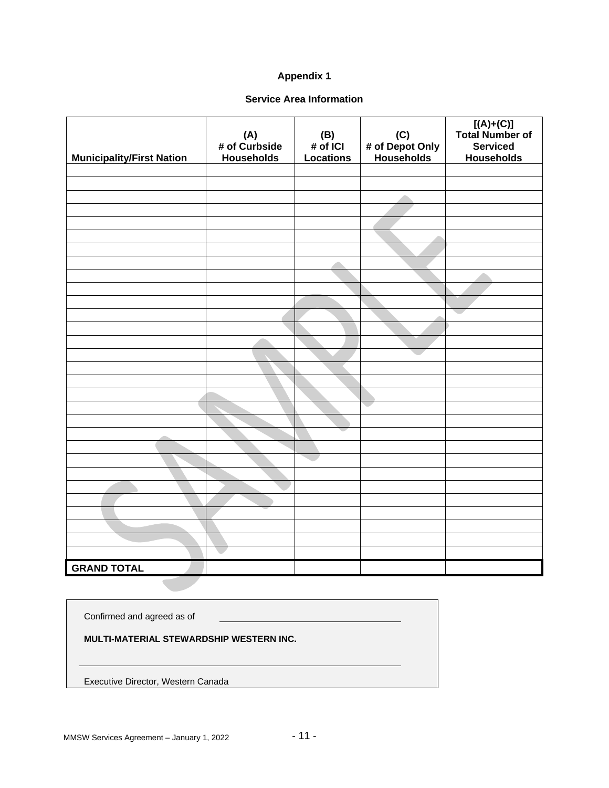# **Service Area Information**

| <b>Municipality/First Nation</b> | (A)<br># of Curbside<br><b>Households</b> | $(B)$<br># of ICI<br><b>Locations</b> | (C)<br># of Depot Only<br>Households | $[(A)+(C)]$<br>Total Number of<br><b>Serviced</b><br><b>Households</b> |
|----------------------------------|-------------------------------------------|---------------------------------------|--------------------------------------|------------------------------------------------------------------------|
|                                  |                                           |                                       |                                      |                                                                        |
|                                  |                                           |                                       |                                      |                                                                        |
|                                  |                                           |                                       |                                      |                                                                        |
|                                  |                                           |                                       |                                      |                                                                        |
|                                  |                                           |                                       |                                      |                                                                        |
|                                  |                                           |                                       |                                      |                                                                        |
|                                  |                                           |                                       |                                      |                                                                        |
|                                  |                                           |                                       |                                      |                                                                        |
|                                  |                                           |                                       |                                      |                                                                        |
|                                  |                                           |                                       |                                      |                                                                        |
|                                  |                                           |                                       |                                      |                                                                        |
|                                  |                                           |                                       |                                      |                                                                        |
|                                  |                                           |                                       |                                      |                                                                        |
|                                  |                                           |                                       |                                      |                                                                        |
|                                  |                                           |                                       |                                      |                                                                        |
|                                  |                                           |                                       |                                      |                                                                        |
|                                  |                                           |                                       |                                      |                                                                        |
|                                  |                                           |                                       |                                      |                                                                        |
|                                  |                                           |                                       |                                      |                                                                        |
|                                  |                                           |                                       |                                      |                                                                        |
|                                  |                                           |                                       |                                      |                                                                        |
|                                  |                                           |                                       |                                      |                                                                        |
|                                  |                                           |                                       |                                      |                                                                        |
|                                  |                                           |                                       |                                      |                                                                        |
|                                  |                                           |                                       |                                      |                                                                        |
|                                  |                                           |                                       |                                      |                                                                        |
|                                  |                                           |                                       |                                      |                                                                        |
|                                  |                                           |                                       |                                      |                                                                        |
|                                  |                                           |                                       |                                      |                                                                        |
|                                  |                                           |                                       |                                      |                                                                        |
| <b>GRAND TOTAL</b>               |                                           |                                       |                                      |                                                                        |
|                                  |                                           |                                       |                                      |                                                                        |

Confirmed and agreed as of

**MULTI-MATERIAL STEWARDSHIP WESTERN INC.**

Executive Director, Western Canada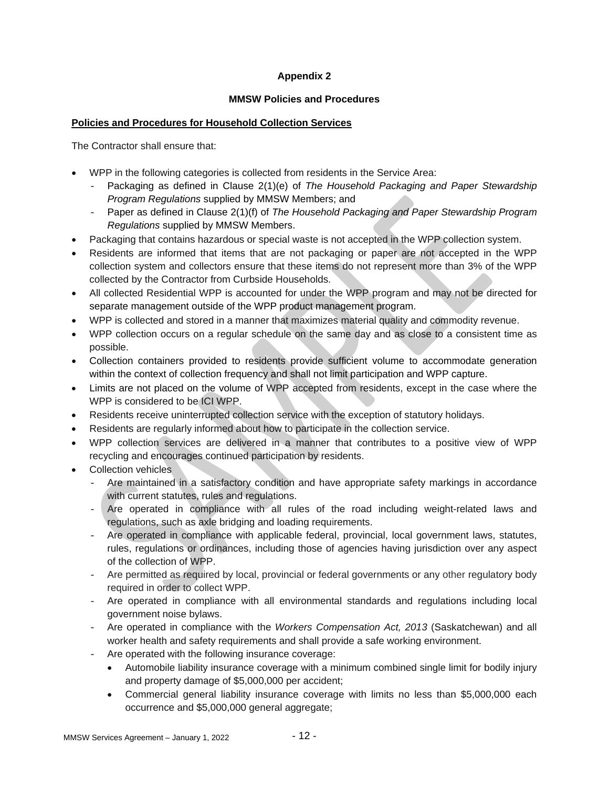### **MMSW Policies and Procedures**

### **Policies and Procedures for Household Collection Services**

The Contractor shall ensure that:

- WPP in the following categories is collected from residents in the Service Area:
	- Packaging as defined in Clause 2(1)(e) of *The Household Packaging and Paper Stewardship Program Regulations* supplied by MMSW Members; and
	- Paper as defined in Clause 2(1)(f) of *The Household Packaging and Paper Stewardship Program Regulations* supplied by MMSW Members.
- Packaging that contains hazardous or special waste is not accepted in the WPP collection system.
- Residents are informed that items that are not packaging or paper are not accepted in the WPP collection system and collectors ensure that these items do not represent more than 3% of the WPP collected by the Contractor from Curbside Households.
- All collected Residential WPP is accounted for under the WPP program and may not be directed for separate management outside of the WPP product management program.
- WPP is collected and stored in a manner that maximizes material quality and commodity revenue.
- WPP collection occurs on a regular schedule on the same day and as close to a consistent time as possible.
- Collection containers provided to residents provide sufficient volume to accommodate generation within the context of collection frequency and shall not limit participation and WPP capture.
- Limits are not placed on the volume of WPP accepted from residents, except in the case where the WPP is considered to be ICI WPP.
- Residents receive uninterrupted collection service with the exception of statutory holidays.
- Residents are regularly informed about how to participate in the collection service.
- WPP collection services are delivered in a manner that contributes to a positive view of WPP recycling and encourages continued participation by residents.
- Collection vehicles
	- Are maintained in a satisfactory condition and have appropriate safety markings in accordance with current statutes, rules and regulations.
	- Are operated in compliance with all rules of the road including weight-related laws and regulations, such as axle bridging and loading requirements.
	- Are operated in compliance with applicable federal, provincial, local government laws, statutes, rules, regulations or ordinances, including those of agencies having jurisdiction over any aspect of the collection of WPP.
	- Are permitted as required by local, provincial or federal governments or any other regulatory body required in order to collect WPP.
	- Are operated in compliance with all environmental standards and regulations including local government noise bylaws.
	- Are operated in compliance with the *Workers Compensation Act, 2013* (Saskatchewan) and all worker health and safety requirements and shall provide a safe working environment.
	- Are operated with the following insurance coverage:
		- Automobile liability insurance coverage with a minimum combined single limit for bodily injury and property damage of \$5,000,000 per accident;
		- Commercial general liability insurance coverage with limits no less than \$5,000,000 each occurrence and \$5,000,000 general aggregate;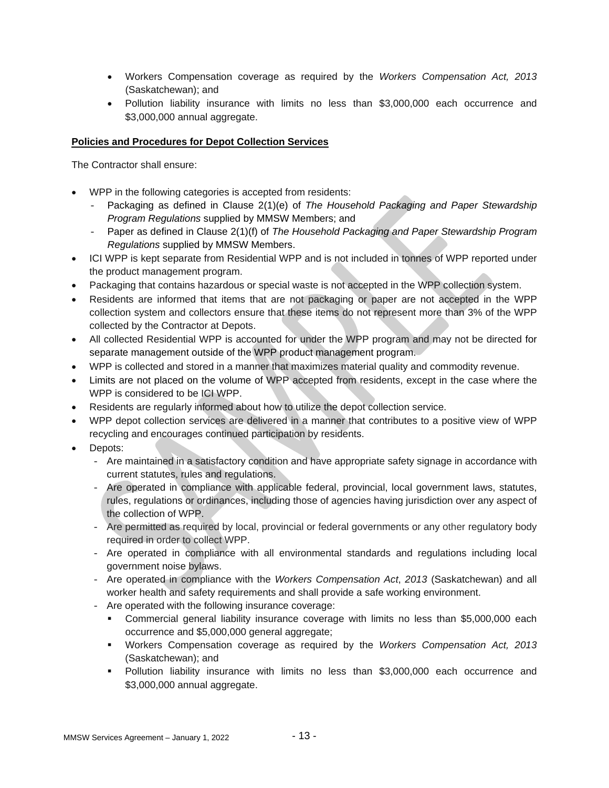- Workers Compensation coverage as required by the *Workers Compensation Act, 2013*  (Saskatchewan); and
- Pollution liability insurance with limits no less than \$3,000,000 each occurrence and \$3,000,000 annual aggregate.

# **Policies and Procedures for Depot Collection Services**

The Contractor shall ensure:

- WPP in the following categories is accepted from residents:
	- Packaging as defined in Clause 2(1)(e) of *The Household Packaging and Paper Stewardship Program Regulations* supplied by MMSW Members; and
	- Paper as defined in Clause 2(1)(f) of *The Household Packaging and Paper Stewardship Program Regulations* supplied by MMSW Members.
- ICI WPP is kept separate from Residential WPP and is not included in tonnes of WPP reported under the product management program.
- Packaging that contains hazardous or special waste is not accepted in the WPP collection system.
- Residents are informed that items that are not packaging or paper are not accepted in the WPP collection system and collectors ensure that these items do not represent more than 3% of the WPP collected by the Contractor at Depots.
- All collected Residential WPP is accounted for under the WPP program and may not be directed for separate management outside of the WPP product management program.
- WPP is collected and stored in a manner that maximizes material quality and commodity revenue.
- Limits are not placed on the volume of WPP accepted from residents, except in the case where the WPP is considered to be ICI WPP.
- Residents are regularly informed about how to utilize the depot collection service.
- WPP depot collection services are delivered in a manner that contributes to a positive view of WPP recycling and encourages continued participation by residents.
- Depots:
	- Are maintained in a satisfactory condition and have appropriate safety signage in accordance with current statutes, rules and regulations.
	- Are operated in compliance with applicable federal, provincial, local government laws, statutes, rules, regulations or ordinances, including those of agencies having jurisdiction over any aspect of the collection of WPP.
	- Are permitted as required by local, provincial or federal governments or any other regulatory body required in order to collect WPP.
	- Are operated in compliance with all environmental standards and regulations including local government noise bylaws.
	- Are operated in compliance with the *Workers Compensation Act*, *2013* (Saskatchewan) and all worker health and safety requirements and shall provide a safe working environment.
	- Are operated with the following insurance coverage:
		- Commercial general liability insurance coverage with limits no less than \$5,000,000 each occurrence and \$5,000,000 general aggregate;
		- Workers Compensation coverage as required by the *Workers Compensation Act, 2013*  (Saskatchewan); and
		- Pollution liability insurance with limits no less than \$3,000,000 each occurrence and \$3,000,000 annual aggregate.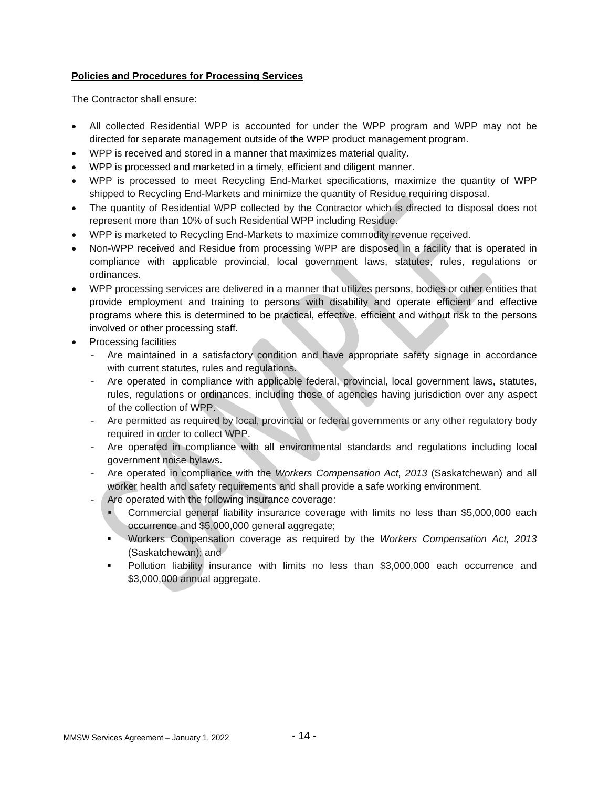# **Policies and Procedures for Processing Services**

The Contractor shall ensure:

- All collected Residential WPP is accounted for under the WPP program and WPP may not be directed for separate management outside of the WPP product management program.
- WPP is received and stored in a manner that maximizes material quality.
- WPP is processed and marketed in a timely, efficient and diligent manner.
- WPP is processed to meet Recycling End-Market specifications, maximize the quantity of WPP shipped to Recycling End-Markets and minimize the quantity of Residue requiring disposal.
- The quantity of Residential WPP collected by the Contractor which is directed to disposal does not represent more than 10% of such Residential WPP including Residue.
- WPP is marketed to Recycling End-Markets to maximize commodity revenue received.
- Non-WPP received and Residue from processing WPP are disposed in a facility that is operated in compliance with applicable provincial, local government laws, statutes, rules, regulations or ordinances.
- WPP processing services are delivered in a manner that utilizes persons, bodies or other entities that provide employment and training to persons with disability and operate efficient and effective programs where this is determined to be practical, effective, efficient and without risk to the persons involved or other processing staff.
- Processing facilities
	- Are maintained in a satisfactory condition and have appropriate safety signage in accordance with current statutes, rules and regulations.
	- Are operated in compliance with applicable federal, provincial, local government laws, statutes, rules, regulations or ordinances, including those of agencies having jurisdiction over any aspect of the collection of WPP.
	- Are permitted as required by local, provincial or federal governments or any other regulatory body required in order to collect WPP.
	- Are operated in compliance with all environmental standards and regulations including local government noise bylaws.
	- Are operated in compliance with the *Workers Compensation Act, 2013* (Saskatchewan) and all worker health and safety requirements and shall provide a safe working environment.
	- Are operated with the following insurance coverage:
		- Commercial general liability insurance coverage with limits no less than \$5,000,000 each occurrence and \$5,000,000 general aggregate;
		- Workers Compensation coverage as required by the *Workers Compensation Act, 2013*  (Saskatchewan); and
		- Pollution liability insurance with limits no less than \$3,000,000 each occurrence and \$3,000,000 annual aggregate.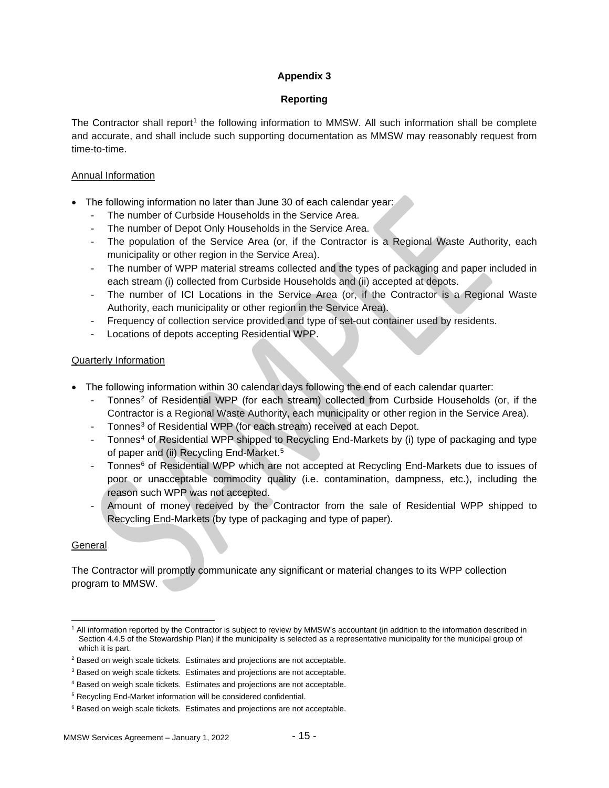### **Reporting**

The Contractor shall report<sup>[1](#page-16-0)</sup> the following information to MMSW. All such information shall be complete and accurate, and shall include such supporting documentation as MMSW may reasonably request from time-to-time.

# Annual Information

- The following information no later than June 30 of each calendar year:
	- The number of Curbside Households in the Service Area.
	- The number of Depot Only Households in the Service Area.
	- The population of the Service Area (or, if the Contractor is a Regional Waste Authority, each municipality or other region in the Service Area).
	- The number of WPP material streams collected and the types of packaging and paper included in each stream (i) collected from Curbside Households and (ii) accepted at depots.
	- The number of ICI Locations in the Service Area (or, if the Contractor is a Regional Waste Authority, each municipality or other region in the Service Area).
	- Frequency of collection service provided and type of set-out container used by residents.
	- Locations of depots accepting Residential WPP.

# Quarterly Information

- The following information within 30 calendar days following the end of each calendar quarter:
	- Tonnes<sup>[2](#page-16-1)</sup> of Residential WPP (for each stream) collected from Curbside Households (or, if the Contractor is a Regional Waste Authority, each municipality or other region in the Service Area).
	- Tonnes<sup>[3](#page-16-2)</sup> of Residential WPP (for each stream) received at each Depot.
	- Tonnes<sup>[4](#page-16-3)</sup> of Residential WPP shipped to Recycling End-Markets by (i) type of packaging and type of paper and (ii) Recycling End-Market. [5](#page-16-4)
	- Tonnes<sup>[6](#page-16-5)</sup> of Residential WPP which are not accepted at Recycling End-Markets due to issues of poor or unacceptable commodity quality (i.e. contamination, dampness, etc.), including the reason such WPP was not accepted.
	- Amount of money received by the Contractor from the sale of Residential WPP shipped to Recycling End-Markets (by type of packaging and type of paper).

# General

The Contractor will promptly communicate any significant or material changes to its WPP collection program to MMSW.

<span id="page-16-0"></span> <sup>1</sup> All information reported by the Contractor is subject to review by MMSW's accountant (in addition to the information described in Section 4.4.5 of the Stewardship Plan) if the municipality is selected as a representative municipality for the municipal group of which it is part.

<span id="page-16-1"></span><sup>&</sup>lt;sup>2</sup> Based on weigh scale tickets. Estimates and projections are not acceptable.

<span id="page-16-2"></span><sup>&</sup>lt;sup>3</sup> Based on weigh scale tickets. Estimates and projections are not acceptable.

<span id="page-16-3"></span><sup>4</sup> Based on weigh scale tickets. Estimates and projections are not acceptable.

<span id="page-16-4"></span><sup>5</sup> Recycling End-Market information will be considered confidential.

<span id="page-16-5"></span><sup>&</sup>lt;sup>6</sup> Based on weigh scale tickets. Estimates and projections are not acceptable.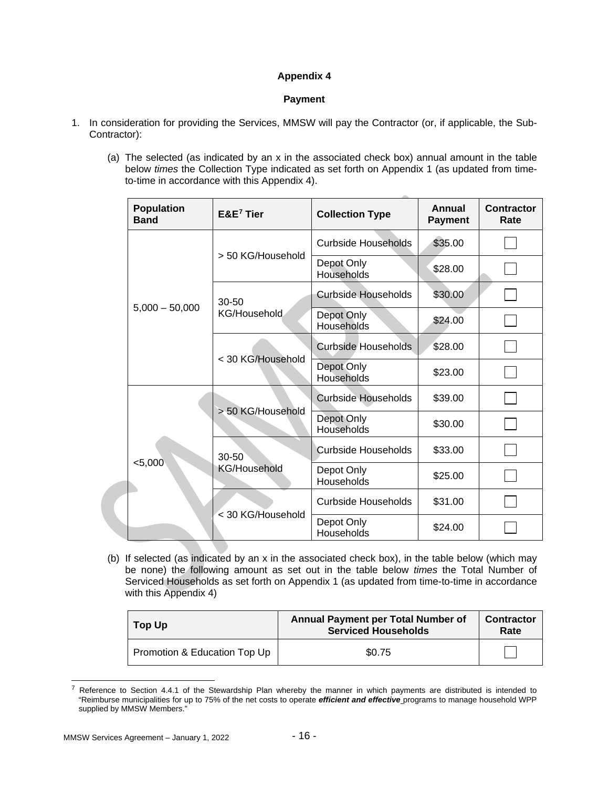### **Payment**

- 1. In consideration for providing the Services, MMSW will pay the Contractor (or, if applicable, the Sub-Contractor):
	- (a) The selected (as indicated by an x in the associated check box) annual amount in the table below *times* the Collection Type indicated as set forth on Appendix 1 (as updated from timeto-time in accordance with this Appendix 4).

|  | <b>Population</b><br><b>Band</b>      | $E&E^7$ Tier                     | <b>Collection Type</b>          | <b>Annual</b><br><b>Payment</b> | <b>Contractor</b><br>Rate |
|--|---------------------------------------|----------------------------------|---------------------------------|---------------------------------|---------------------------|
|  |                                       | > 50 KG/Household                | <b>Curbside Households</b>      | \$35.00                         |                           |
|  |                                       |                                  | Depot Only<br><b>Households</b> | \$28.00                         |                           |
|  |                                       | 30-50<br>KG/Household.           | <b>Curbside Households</b>      | \$30.00                         |                           |
|  | $5,000 - 50,000$<br>< 30 KG/Household |                                  | Depot Only<br><b>Households</b> | \$24.00                         |                           |
|  |                                       |                                  | <b>Curbside Households</b>      | \$28.00                         |                           |
|  |                                       | Depot Only<br><b>Households</b>  | \$23.00                         |                                 |                           |
|  | $<$ 5,000                             | > 50 KG/Household                | <b>Curbside Households</b>      | \$39.00                         |                           |
|  |                                       |                                  | Depot Only<br><b>Households</b> | \$30.00                         |                           |
|  |                                       | $30 - 50$<br><b>KG/Household</b> | Curbside Households             | \$33.00                         |                           |
|  |                                       |                                  | Depot Only<br>Households        | \$25.00                         |                           |
|  |                                       |                                  | Curbside Households             | \$31.00                         |                           |
|  | < 30 KG/Household                     |                                  | Depot Only<br>Households        | \$24.00                         |                           |

(b) If selected (as indicated by an x in the associated check box), in the table below (which may be none) the following amount as set out in the table below *times* the Total Number of Serviced Households as set forth on Appendix 1 (as updated from time-to-time in accordance with this Appendix 4)

| Top Up                       | Annual Payment per Total Number of<br><b>Serviced Households</b> | <b>Contractor</b><br>Rate |
|------------------------------|------------------------------------------------------------------|---------------------------|
| Promotion & Education Top Up | \$0.75                                                           |                           |

<span id="page-17-0"></span> $7$  Reference to Section 4.4.1 of the Stewardship Plan whereby the manner in which payments are distributed is intended to "Reimburse municipalities for up to 75% of the net costs to operate *efficient and effective* programs to manage household WPP supplied by MMSW Members."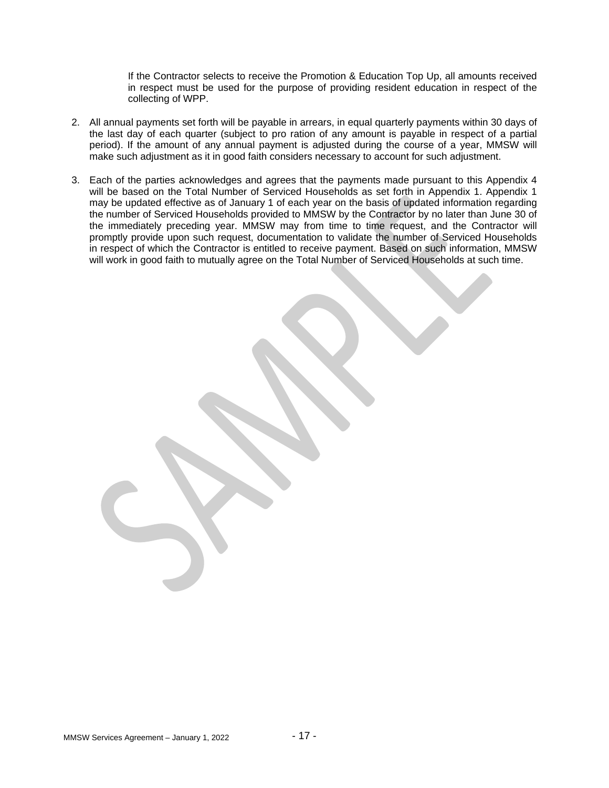If the Contractor selects to receive the Promotion & Education Top Up, all amounts received in respect must be used for the purpose of providing resident education in respect of the collecting of WPP.

- 2. All annual payments set forth will be payable in arrears, in equal quarterly payments within 30 days of the last day of each quarter (subject to pro ration of any amount is payable in respect of a partial period). If the amount of any annual payment is adjusted during the course of a year, MMSW will make such adjustment as it in good faith considers necessary to account for such adjustment.
- 3. Each of the parties acknowledges and agrees that the payments made pursuant to this Appendix 4 will be based on the Total Number of Serviced Households as set forth in Appendix 1. Appendix 1 may be updated effective as of January 1 of each year on the basis of updated information regarding the number of Serviced Households provided to MMSW by the Contractor by no later than June 30 of the immediately preceding year. MMSW may from time to time request, and the Contractor will promptly provide upon such request, documentation to validate the number of Serviced Households in respect of which the Contractor is entitled to receive payment. Based on such information, MMSW will work in good faith to mutually agree on the Total Number of Serviced Households at such time.